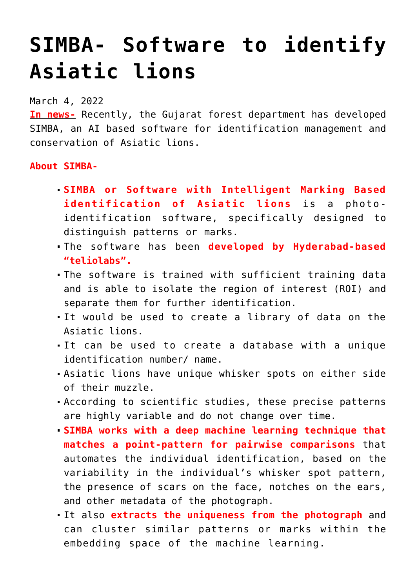## **[SIMBA- Software to identify](https://journalsofindia.com/simba-software-to-identify-asiatic-lions/) [Asiatic lions](https://journalsofindia.com/simba-software-to-identify-asiatic-lions/)**

## March 4, 2022

**In news-** Recently, the Gujarat forest department has developed SIMBA, an AI based software for identification management and conservation of Asiatic lions.

## **About SIMBA-**

- **SIMBA or Software with Intelligent Marking Based identification of Asiatic lions** is a photoidentification software, specifically designed to distinguish patterns or marks.
- The software has been **developed by Hyderabad-based "teliolabs".**
- The software is trained with sufficient training data and is able to isolate the region of interest (ROI) and separate them for further identification.
- It would be used to create a library of data on the Asiatic lions.
- It can be used to create a database with a unique identification number/ name.
- Asiatic lions have unique whisker spots on either side of their muzzle.
- According to scientific studies, these precise patterns are highly variable and do not change over time.
- **SIMBA works with a deep machine learning technique that matches a point-pattern for pairwise comparisons** that automates the individual identification, based on the variability in the individual's whisker spot pattern, the presence of scars on the face, notches on the ears, and other metadata of the photograph.
- It also **extracts the uniqueness from the photograph** and can cluster similar patterns or marks within the embedding space of the machine learning.